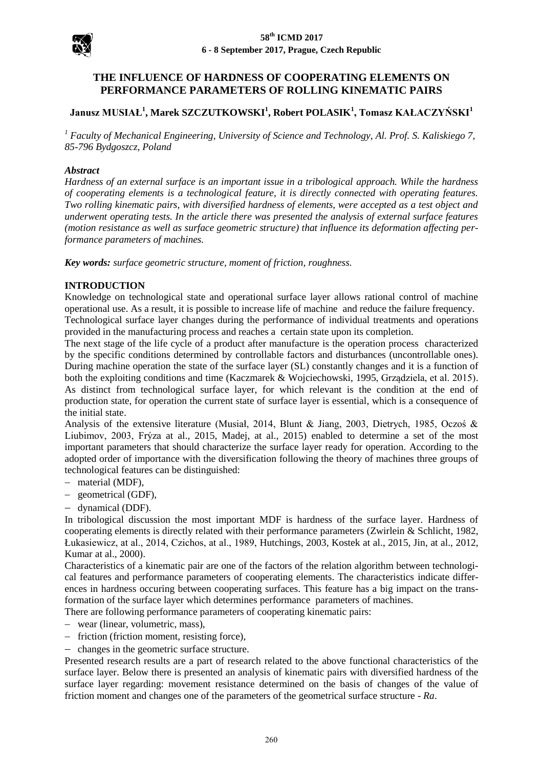

# **THE INFLUENCE OF HARDNESS OF COOPERATING ELEMENTS ON PERFORMANCE PARAMETERS OF ROLLING KINEMATIC PAIRS**

# **Janusz MUSIAŁ<sup>1</sup> , Marek SZCZUTKOWSKI<sup>1</sup> , Robert POLASIK<sup>1</sup> , Tomasz KAŁACZYŃSKI<sup>1</sup>**

*<sup>1</sup> Faculty of Mechanical Engineering, University of Science and Technology, Al. Prof. S. Kaliskiego 7, 85-796 Bydgoszcz, Poland* 

#### *Abstract*

*Hardness of an external surface is an important issue in a tribological approach. While the hardness of cooperating elements is a technological feature, it is directly connected with operating features. Two rolling kinematic pairs, with diversified hardness of elements, were accepted as a test object and underwent operating tests. In the article there was presented the analysis of external surface features (motion resistance as well as surface geometric structure) that influence its deformation affecting performance parameters of machines.*

*Key words: surface geometric structure, moment of friction, roughness.*

#### **INTRODUCTION**

Knowledge on technological state and operational surface layer allows rational control of machine operational use. As a result, it is possible to increase life of machine and reduce the failure frequency. Technological surface layer changes during the performance of individual treatments and operations

provided in the manufacturing process and reaches a certain state upon its completion. The next stage of the life cycle of a product after manufacture is the operation process characterized by the specific conditions determined by controllable factors and disturbances (uncontrollable ones). During machine operation the state of the surface layer (SL) constantly changes and it is a function of both the exploiting conditions and time (Kaczmarek & Wojciechowski, 1995, Grządziela, et al. 2015). As distinct from technological surface layer, for which relevant is the condition at the end of production state, for operation the current state of surface layer is essential, which is a consequence of the initial state.

Analysis of the extensive literature (Musiał, 2014, Blunt & Jiang, 2003, Dietrych, 1985, Oczoś & Liubimov, 2003, Frýza at al., 2015, Madej, at al., 2015) enabled to determine a set of the most important parameters that should characterize the surface layer ready for operation. According to the adopted order of importance with the diversification following the theory of machines three groups of technological features can be distinguished:

- material (MDF),
- geometrical (GDF),
- dynamical (DDF).

In tribological discussion the most important MDF is hardness of the surface layer. Hardness of cooperating elements is directly related with their performance parameters (Zwirlein & Schlicht, 1982, Łukasiewicz, at al., 2014, Czichos, at al., 1989, Hutchings, 2003, Kostek at al., 2015, Jin, at al., 2012, Kumar at al., 2000).

Characteristics of a kinematic pair are one of the factors of the relation algorithm between technological features and performance parameters of cooperating elements. The characteristics indicate differences in hardness occuring between cooperating surfaces. This feature has a big impact on the transformation of the surface layer which determines performance parameters of machines.

There are following performance parameters of cooperating kinematic pairs:

- wear (linear, volumetric, mass),
- friction (friction moment, resisting force),
- changes in the geometric surface structure.

Presented research results are a part of research related to the above functional characteristics of the surface layer. Below there is presented an analysis of kinematic pairs with diversified hardness of the surface layer regarding: movement resistance determined on the basis of changes of the value of friction moment and changes one of the parameters of the geometrical surface structure - *Ra*.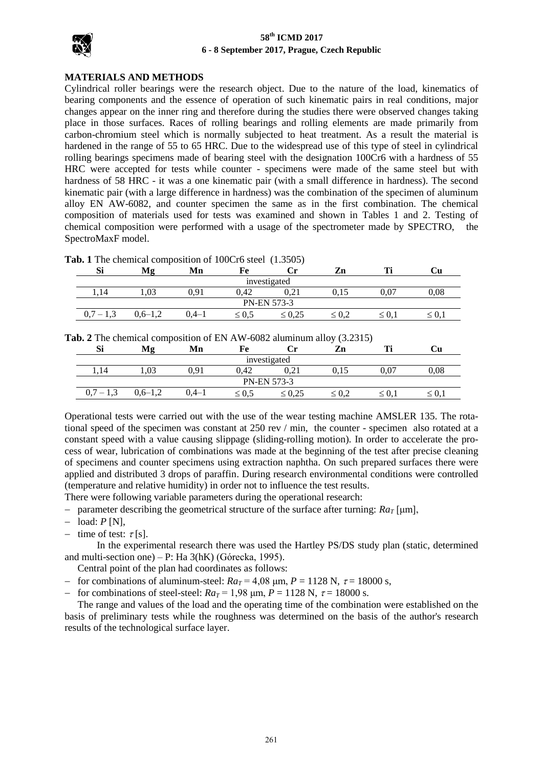

### **MATERIALS AND METHODS**

Cylindrical roller bearings were the research object. Due to the nature of the load, kinematics of bearing components and the essence of operation of such kinematic pairs in real conditions, major changes appear on the inner ring and therefore during the studies there were observed changes taking place in those surfaces. Races of rolling bearings and rolling elements are made primarily from carbon-chromium steel which is normally subjected to heat treatment. As a result the material is hardened in the range of 55 to 65 HRC. Due to the widespread use of this type of steel in cylindrical rolling bearings specimens made of bearing steel with the designation 100Cr6 with a hardness of 55 HRC were accepted for tests while counter - specimens were made of the same steel but with hardness of 58 HRC - it was a one kinematic pair (with a small difference in hardness). The second kinematic pair (with a large difference in hardness) was the combination of the specimen of aluminum alloy EN AW-6082, and counter specimen the same as in the first combination. The chemical composition of materials used for tests was examined and shown in Tables 1 and 2. Testing of chemical composition were performed with a usage of the spectrometer made by SPECTRO, the SpectroMaxF model.

|  |  |  |  |  |  | Tab. 1 The chemical composition of 100Cr6 steel (1.3505) |  |
|--|--|--|--|--|--|----------------------------------------------------------|--|
|--|--|--|--|--|--|----------------------------------------------------------|--|

| Si                 | Mφ          | Mn    | Fe      | ∪r          | Zn         | m          | ∪u        |  |
|--------------------|-------------|-------|---------|-------------|------------|------------|-----------|--|
| investigated       |             |       |         |             |            |            |           |  |
|                    | 1,03        | 0.91  | 0.42    | $_{0,21}$   | 0,15       | 0,07       | 0,08      |  |
| <b>PN-EN 573-3</b> |             |       |         |             |            |            |           |  |
| $_{\rm 0,7}$       | $0.6 - 1.2$ | 0.4–1 | ≤ $0.5$ | $\leq 0.25$ | $\leq 0.2$ | $\leq 0.1$ | $\leq 0,$ |  |

**Tab. 2** The chemical composition of EN AW-6082 aluminum alloy (3.2315)

| Si                 | Mε        | Mn        | Fe         | Сr          | Zn            | m          | Uи         |  |
|--------------------|-----------|-----------|------------|-------------|---------------|------------|------------|--|
| investigated       |           |           |            |             |               |            |            |  |
| 1.14               | 1.03      | 0.91      | 0.42       | 0.21        | <u>v. i J</u> | 0,07       | 0.08       |  |
| <b>PN-EN 573-3</b> |           |           |            |             |               |            |            |  |
| 1.3<br>υ.          | $0,6-1,2$ | $0.4 - 1$ | $\leq 0.5$ | $\leq 0.25$ | $\leq 0.2$    | $\leq 0.1$ | $\leq 0.1$ |  |

Operational tests were carried out with the use of the wear testing machine AMSLER 135. The rotational speed of the specimen was constant at 250 rev / min, the counter - specimen also rotated at a constant speed with a value causing slippage (sliding-rolling motion). In order to accelerate the process of wear, lubrication of combinations was made at the beginning of the test after precise cleaning of specimens and counter specimens using extraction naphtha. On such prepared surfaces there were applied and distributed 3 drops of paraffin. During research environmental conditions were controlled (temperature and relative humidity) in order not to influence the test results.

There were following variable parameters during the operational research:

- parameter describing the geometrical structure of the surface after turning:  $Ra_T$  [ $\mu$ m],
- $-$  load:  $P$  [N],
- time of test:  $\tau$ [s].

 In the experimental research there was used the Hartley PS/DS study plan (static, determined and multi-section one) – P: Ha 3(hK) (Górecka, 1995).

Central point of the plan had coordinates as follows:

- for combinations of aluminum-steel:  $Ra_T = 4.08 \text{ µm}, P = 1128 \text{ N}, \tau = 18000 \text{ s}$ ,
- for combinations of steel-steel:  $Ra_T = 1.98 \, \mu \text{m}$ ,  $P = 1128 \, \text{N}$ ,  $\tau = 18000 \, \text{s}$ .

 The range and values of the load and the operating time of the combination were established on the basis of preliminary tests while the roughness was determined on the basis of the author's research results of the technological surface layer.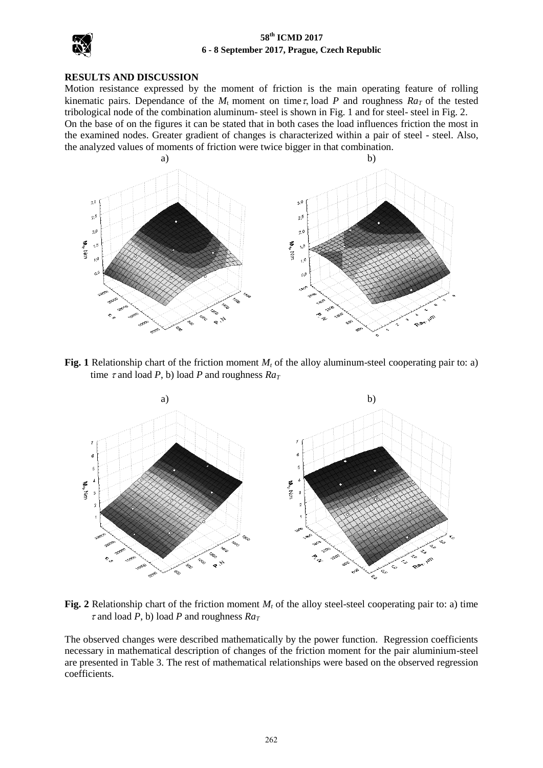

#### **RESULTS AND DISCUSSION**

Motion resistance expressed by the moment of friction is the main operating feature of rolling kinematic pairs. Dependance of the  $M_t$  moment on time  $\tau$ , load *P* and roughness  $Ra_T$  of the tested tribological node of the combination aluminum- steel is shown in Fig. 1 and for steel- steel in Fig. 2.

On the base of on the figures it can be stated that in both cases the load influences friction the most in the examined nodes. Greater gradient of changes is characterized within a pair of steel - steel. Also, the analyzed values of moments of friction were twice bigger in that combination.



**Fig. 1** Relationship chart of the friction moment  $M_t$  of the alloy aluminum-steel cooperating pair to: a) time  $\tau$  and load *P*, b) load *P* and roughness  $Ra_{\tau}$ 



Fig. 2 Relationship chart of the friction moment  $M_t$  of the alloy steel-steel cooperating pair to: a) time  $\tau$  and load *P*, b) load *P* and roughness  $Ra_T$ 

The observed changes were described mathematically by the power function. Regression coefficients necessary in mathematical description of changes of the friction moment for the pair aluminium-steel are presented in Table 3. The rest of mathematical relationships were based on the observed regression coefficients.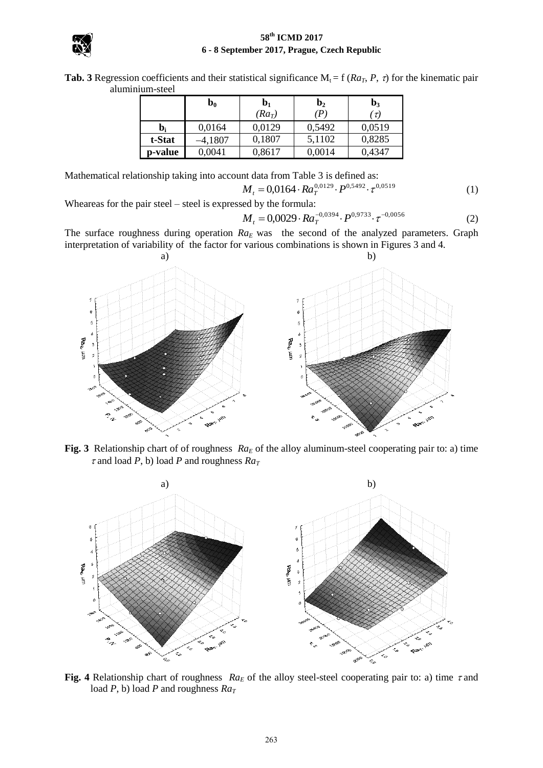

**Tab. 3** Regression coefficients and their statistical significance  $M_t = f (Ra_T, P, \tau)$  for the kinematic pair aluminium-steel

|         | $\mathbf{b_{0}}$ | $\mathbf{b}_1$ | b <sub>2</sub> | $\mathbf{b}_3$ |
|---------|------------------|----------------|----------------|----------------|
|         |                  | $(Ra_T)$       | (P)            | $\tau$         |
| b,      | 0.0164           | 0,0129         | 0.5492         | 0,0519         |
| t-Stat  | –4,1807          | 0,1807         | 5,1102         | 0,8285         |
| p-value | 0,0041           | 0,8617         | 0,0014         | 0,4347         |

Mathematical relationship taking into account data from Table 3 is defined as:

$$
M_t = 0.0164 \cdot Ra_T^{0.0129} \cdot P^{0.5492} \cdot \tau^{0.0519}
$$
 (1)

Wheareas for the pair steel – steel is expressed by the formula:

$$
M_t = 0.0029 \cdot Ra_T^{-0.0394} \cdot P^{0.9733} \cdot \tau^{-0.0056}
$$
 (2)

The surface roughness during operation *RaE* was the second of the analyzed parameters. Graph interpretation of variability of the factor for various combinations is shown in Figures 3 and 4.



**Fig. 3** Relationship chart of of roughness *Ra*<sup>*E*</sup> of the alloy aluminum-steel cooperating pair to: a) time  $\tau$  and load *P*, b) load *P* and roughness  $Ra_T$ 



**Fig. 4** Relationship chart of roughness  $Ra_E$  of the alloy steel-steel cooperating pair to: a) time  $\tau$  and load *P*, b) load *P* and roughness  $Ra_T$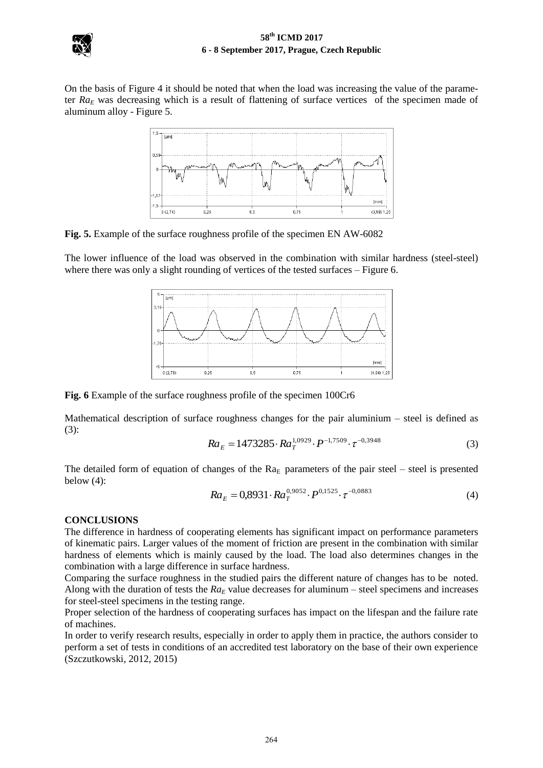

On the basis of Figure 4 it should be noted that when the load was increasing the value of the parameter *Ra<sup>E</sup>* was decreasing which is a result of flattening of surface vertices of the specimen made of aluminum alloy - Figure 5.



**Fig. 5.** Example of the surface roughness profile of the specimen EN AW-6082

The lower influence of the load was observed in the combination with similar hardness (steel-steel) where there was only a slight rounding of vertices of the tested surfaces – Figure 6.



**Fig. 6** Example of the surface roughness profile of the specimen 100Cr6

Mathematical description of surface roughness changes for the pair aluminium – steel is defined as (3):

$$
Ra_E = 1473285 \cdot Ra_T^{1,0929} \cdot P^{-1,7509} \cdot \tau^{-0,3948} \tag{3}
$$

The detailed form of equation of changes of the  $Ra_E$  parameters of the pair steel – steel is presented below  $(4)$ :

$$
Ra_E = 0.8931 \cdot Ra_T^{0.9052} \cdot P^{0.1525} \cdot \tau^{-0.0883}
$$
 (4)

### **CONCLUSIONS**

The difference in hardness of cooperating elements has significant impact on performance parameters of kinematic pairs. Larger values of the moment of friction are present in the combination with similar hardness of elements which is mainly caused by the load. The load also determines changes in the combination with a large difference in surface hardness.

Comparing the surface roughness in the studied pairs the different nature of changes has to be noted. Along with the duration of tests the  $Ra_E$  value decreases for aluminum – steel specimens and increases for steel-steel specimens in the testing range.

Proper selection of the hardness of cooperating surfaces has impact on the lifespan and the failure rate of machines.

In order to verify research results, especially in order to apply them in practice, the authors consider to perform a set of tests in conditions of an accredited test laboratory on the base of their own experience (Szczutkowski, 2012, 2015)